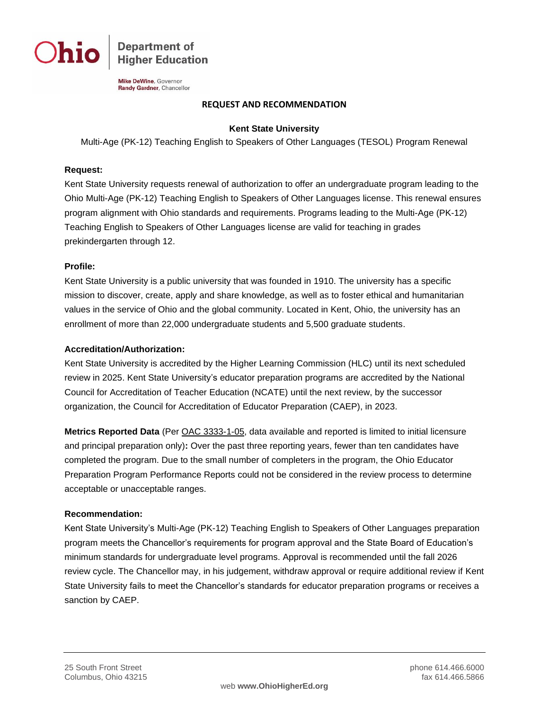

**Department of Higher Education** 

**Mike DeWine**, Governor Randy Gardner, Chancellor

### **REQUEST AND RECOMMENDATION**

## **Kent State University**

Multi-Age (PK-12) Teaching English to Speakers of Other Languages (TESOL) Program Renewal

### **Request:**

Kent State University requests renewal of authorization to offer an undergraduate program leading to the Ohio Multi-Age (PK-12) Teaching English to Speakers of Other Languages license. This renewal ensures program alignment with Ohio standards and requirements. Programs leading to the Multi-Age (PK-12) Teaching English to Speakers of Other Languages license are valid for teaching in grades prekindergarten through 12.

### **Profile:**

Kent State University is a public university that was founded in 1910. The university has a specific mission to discover, create, apply and share knowledge, as well as to foster ethical and humanitarian values in the service of Ohio and the global community. Located in Kent, Ohio, the university has an enrollment of more than 22,000 undergraduate students and 5,500 graduate students.

### **Accreditation/Authorization:**

Kent State University is accredited by the Higher Learning Commission (HLC) until its next scheduled review in 2025. Kent State University's educator preparation programs are accredited by the National Council for Accreditation of Teacher Education (NCATE) until the next review, by the successor organization, the Council for Accreditation of Educator Preparation (CAEP), in 2023.

**Metrics Reported Data** (Per [OAC 3333-1-05,](http://codes.ohio.gov/oac/3333-1-05) data available and reported is limited to initial licensure and principal preparation only)**:** Over the past three reporting years, fewer than ten candidates have completed the program. Due to the small number of completers in the program, the Ohio Educator Preparation Program Performance Reports could not be considered in the review process to determine acceptable or unacceptable ranges.

#### **Recommendation:**

Kent State University's Multi-Age (PK-12) Teaching English to Speakers of Other Languages preparation program meets the Chancellor's requirements for program approval and the State Board of Education's minimum standards for undergraduate level programs. Approval is recommended until the fall 2026 review cycle. The Chancellor may, in his judgement, withdraw approval or require additional review if Kent State University fails to meet the Chancellor's standards for educator preparation programs or receives a sanction by CAEP.